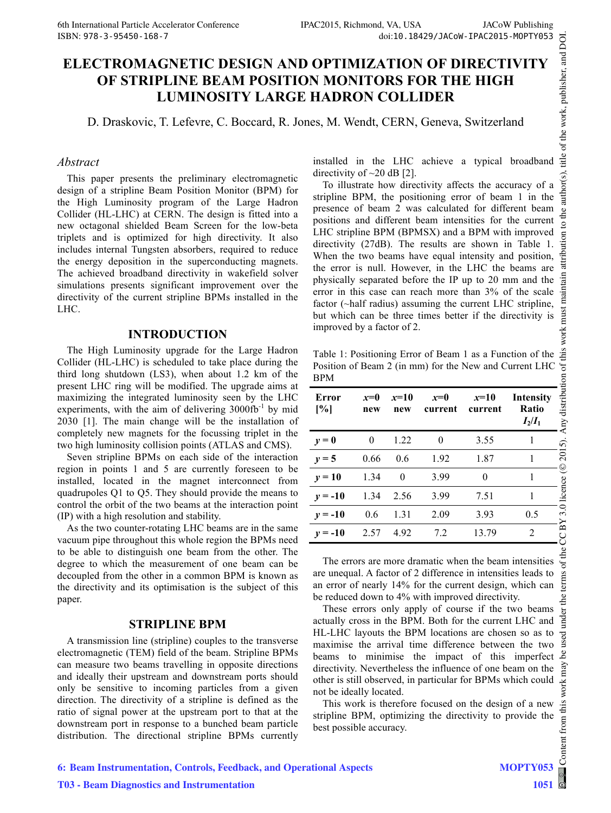# **ELECTROMAGNETIC DESIGN AND OPTIMIZATION OF DIRECTIVITY OF STRIPLINE BEAM POSITION MONITORS FOR THE HIGH LUMINOSITY LARGE HADRON COLLIDER**

D. Draskovic, T. Lefevre, C. Boccard, R. Jones, M. Wendt, CERN, Geneva, Switzerland

### *Abstract*

This paper presents the preliminary electromagnetic design of a stripline Beam Position Monitor (BPM) for the High Luminosity program of the Large Hadron Collider (HL-LHC) at CERN. The design is fitted into a new octagonal shielded Beam Screen for the low-beta triplets and is optimized for high directivity. It also includes internal Tungsten absorbers, required to reduce the energy deposition in the superconducting magnets. The achieved broadband directivity in wakefield solver simulations presents significant improvement over the directivity of the current stripline BPMs installed in the LHC.

### **INTRODUCTION**

The High Luminosity upgrade for the Large Hadron Collider (HL-LHC) is scheduled to take place during the third long shutdown (LS3), when about 1.2 km of the present LHC ring will be modified. The upgrade aims at maximizing the integrated luminosity seen by the LHC experiments, with the aim of delivering  $3000 \text{fb}^{-1}$  by mid 2030 [1]. The main change will be the installation of completely new magnets for the focussing triplet in the two high luminosity collision points (ATLAS and CMS).

Seven stripline BPMs on each side of the interaction region in points 1 and 5 are currently foreseen to be installed, located in the magnet interconnect from quadrupoles Q1 to Q5. They should provide the means to control the orbit of the two beams at the interaction point (IP) with a high resolution and stability.

As the two counter-rotating LHC beams are in the same vacuum pipe throughout this whole region the BPMs need to be able to distinguish one beam from the other. The degree to which the measurement of one beam can be decoupled from the other in a common BPM is known as the directivity and its optimisation is the subject of this paper.

# **STRIPLINE BPM**

A transmission line (stripline) couples to the transverse electromagnetic (TEM) field of the beam. Stripline BPMs can measure two beams travelling in opposite directions and ideally their upstream and downstream ports should only be sensitive to incoming particles from a given direction. The directivity of a stripline is defined as the ratio of signal power at the upstream port to that at the downstream port in response to a bunched beam particle distribution. The directional stripline BPMs currently installed in the LHC achieve a typical broadband directivity of  $\sim$ 20 dB [2].

To illustrate how directivity affects the accuracy of a stripline BPM, the positioning error of beam 1 in the presence of beam 2 was calculated for different beam positions and different beam intensities for the current LHC stripline BPM (BPMSX) and a BPM with improved directivity (27dB). The results are shown in Table 1. When the two beams have equal intensity and position, the error is null. However, in the LHC the beams are physically separated before the IP up to 20 mm and the error in this case can reach more than 3% of the scale factor (~half radius) assuming the current LHC stripline, but which can be three times better if the directivity is improved by a factor of 2.

Table 1: Positioning Error of Beam 1 as a Function of the Position of Beam 2 (in mm) for the New and Current LHC BPM

| Error<br>[%] | $x=0$<br>new | $x=10$<br>new | $x=0$<br>current | $x=10$<br>current | Intensity<br>Ţ<br>Ratio<br>$I_2/I_1$ |
|--------------|--------------|---------------|------------------|-------------------|--------------------------------------|
| $y=0$        | $\theta$     | 1.22          | $\theta$         | 3.55              |                                      |
| $y = 5$      | 0.66         | 0.6           | 1.92             | 1.87              |                                      |
| $y=10$       | 1.34         | $\theta$      | 3.99             | 0                 | 1                                    |
| $y = -10$    | 1.34         | 2.56          | 3.99             | 7.51              |                                      |
| $y = -10$    | 0.6          | 1.31          | 2.09             | 3.93              | 0.5                                  |
| $y = -10$    | 2.57         | 4.92          | 7.2              | 13.79             | 2                                    |

The errors are more dramatic when the beam intensities are unequal. A factor of 2 difference in intensities leads to an error of nearly 14% for the current design, which can be reduced down to 4% with improved directivity.

These errors only apply of course if the two beams actually cross in the BPM. Both for the current LHC and HL-LHC layouts the BPM locations are chosen so as to maximise the arrival time difference between the two beams to minimise the impact of this imperfect directivity. Nevertheless the influence of one beam on the other is still observed, in particular for BPMs which could not be ideally located.

This work is therefore focused on the design of a new stripline BPM, optimizing the directivity to provide the best possible accuracy.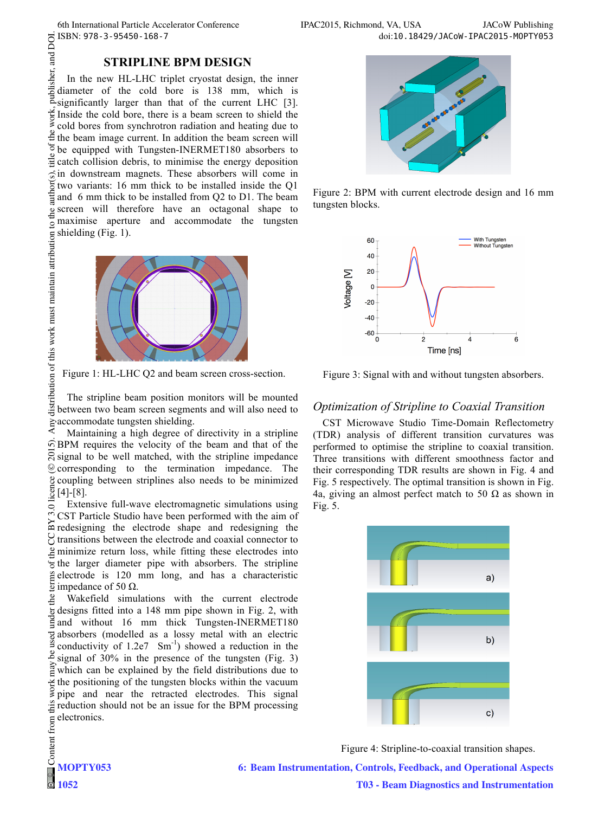# **STRIPLINE BPM DESIGN**

publisher, and DOI.  $\frac{\partial}{\partial}$  2015). Any distribution of this work must maintain attribution to the author(s), title of the work, publisher, and DOI. In the new HL-LHC triplet cryostat design, the inner diameter of the cold bore is 138 mm, which is significantly larger than that of the current LHC [3].  $\frac{1}{5}$  Inside the cold bore, there is a beam screen to shield the  $\frac{1}{5}$  cold bores from synchrotron radiation and heating due to cold bores from synchrotron radiation and heating due to the the beam image current. In addition the beam screen will be equipped with Tungsten-INERMET180 absorbers to  $\frac{1}{2}$  catch collision debris, to minimise the energy deposition  $\hat{\sigma}$  in downstream magnets. These absorbers will come in author( two variants: 16 mm thick to be installed inside the Q1 and 6 mm thick to be installed from Q2 to D1. The beam screen will therefore have an octagonal shape to maximise aperture and accommodate the tungsten shielding (Fig. 1).



Figure 1: HL-LHC Q2 and beam screen cross-section.

listribution of this work must maintain attribution The stripline beam position monitors will be mounted between two beam screen segments and will also need to accommodate tungsten shielding.

Maintaining a high degree of directivity in a stripline BPM requires the velocity of the beam and that of the  $\overline{S}$  signal to be well matched, with the stripline impedance **Q** corresponding to the termination impedance. The coupling between striplines also needs to be minimized  $\frac{5}{2}$ [4]-[8].

Extensive full-wave electromagnetic simulations using CST Particle Studio have been performed with the aim of EUT Tutting States and Tutting the electrode shape and redesigning the transitions between the electrode and coaxial connector to minimize return loss, while fitting these electrodes into the larger diameter pipe with absorbers. The stripline electrode is 120 mm long, and has a characteristic  $\frac{a}{2}$  electrode is 120 is impedance of 50 Ω.

Wakefield simulations with the current electrode designs fitted into a 148 mm pipe shown in Fig. 2, with  $\sum_{i=1}^{n}$ and without 16 mm thick Tungsten-INERMET180 absorbers (modelled as a lossy metal with an electric conductivity of  $1.2e7 \, \text{Sm}^{-1}$ ) showed a reduction in the signal of 30% in the presence of the tungsten (Fig. 3) which can be explained by the field distributions due to the positioning of the tungsten blocks within the vacuum pipe and near the retracted electrodes. This signal this reduction should not be an issue for the BPM processing electronics.



Figure 2: BPM with current electrode design and 16 mm tungsten blocks.



Figure 3: Signal with and without tungsten absorbers.

# *Optimization of Stripline to Coaxial Transition*

CST Microwave Studio Time-Domain Reflectometry (TDR) analysis of different transition curvatures was performed to optimise the stripline to coaxial transition. Three transitions with different smoothness factor and their corresponding TDR results are shown in Fig. 4 and Fig. 5 respectively. The optimal transition is shown in Fig. 4a, giving an almost perfect match to 50  $\Omega$  as shown in Fig. 5.



Figure 4: Stripline-to-coaxial transition shapes.

**6: Beam Instrumentation, Controls, Feedback, and Operational Aspects**

**T03 - Beam Diagnostics and Instrumentation**